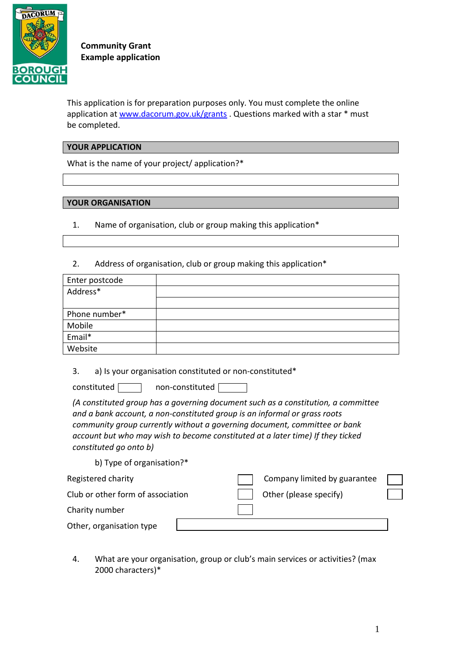

**Community Grant Example application** 

This application is for preparation purposes only. You must complete the online application at [www.dacorum.gov.uk/grants](http://www.dacorum.gov.uk/grants) . Questions marked with a star \* must be completed.

#### **YOUR APPLICATION**

What is the name of your project/ application?\*

### **YOUR ORGANISATION**

- 1. Name of organisation, club or group making this application\*
- 2. Address of organisation, club or group making this application\*

| Enter postcode |  |
|----------------|--|
| Address*       |  |
|                |  |
| Phone number*  |  |
| Mobile         |  |
| Email*         |  |
| Website        |  |
|                |  |

3. a) Is your organisation constituted or non-constituted\*

 $constituted$  non-constituted  $\Box$ 

*(A constituted group has a governing document such as a constitution, a committee and a bank account, a non-constituted group is an informal or grass roots community group currently without a governing document, committee or bank account but who may wish to become constituted at a later time) If they ticked constituted go onto b)*

b) Type of organisation?\*

| Registered charity                |  | Company limited by guarantee |  |
|-----------------------------------|--|------------------------------|--|
| Club or other form of association |  | Other (please specify)       |  |
| Charity number                    |  |                              |  |
| Other, organisation type          |  |                              |  |

4. What are your organisation, group or club's main services or activities? (max 2000 characters)\*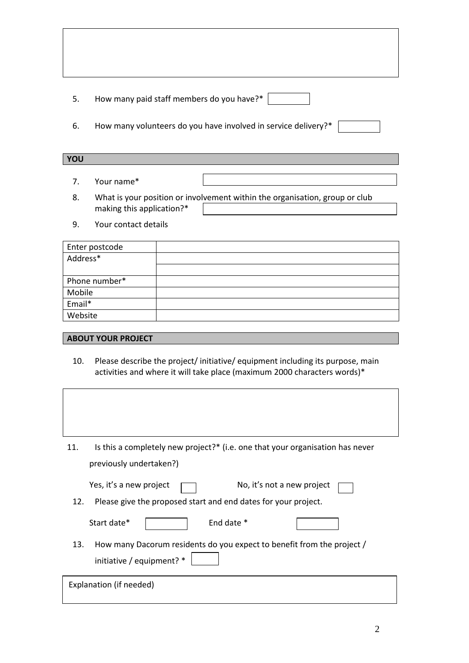5. How many paid staff members do you have?\*

6. How many volunteers do you have involved in service delivery?\*

#### **YOU**

- 7. Your name\*
- 8. What is your position or involvement within the organisation, group or club making this application?\*
- 9. Your contact details

| Enter postcode |  |
|----------------|--|
| Address*       |  |
|                |  |
| Phone number*  |  |
| Mobile         |  |
| Email*         |  |
| Website        |  |

## **ABOUT YOUR PROJECT**

10. Please describe the project/ initiative/ equipment including its purpose, main activities and where it will take place (maximum 2000 characters words)\*

| Is this a completely new project?* (i.e. one that your organisation has never<br>11. |
|--------------------------------------------------------------------------------------|
| previously undertaken?)                                                              |
| Yes, it's a new project<br>No, it's not a new project                                |
| Please give the proposed start and end dates for your project.<br>12.                |
| End date *<br>Start date*                                                            |
| How many Dacorum residents do you expect to benefit from the project /<br>13.        |
| initiative / equipment? *                                                            |
| Explanation (if needed)                                                              |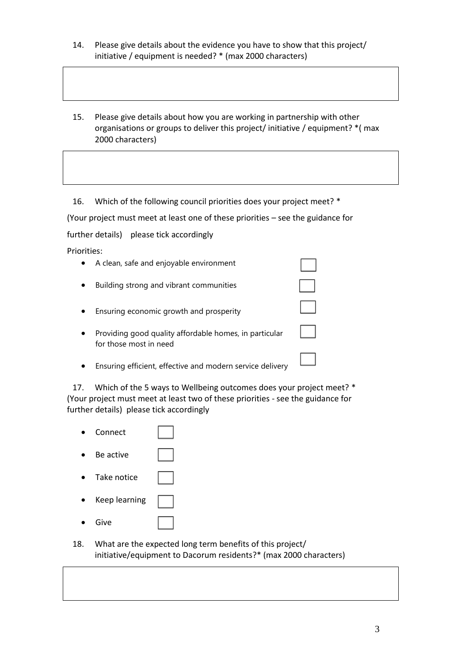- 14. Please give details about the evidence you have to show that this project/ initiative / equipment is needed? \* (max 2000 characters)
- 15. Please give details about how you are working in partnership with other organisations or groups to deliver this project/ initiative / equipment? \*( max 2000 characters)

16. Which of the following council priorities does your project meet? \*

(Your project must meet at least one of these priorities – see the guidance for

further details) please tick accordingly

Priorities:

 A clean, safe and enjoyable environment Building strong and vibrant communities Ensuring economic growth and prosperity • Providing good quality affordable homes, in particular for those most in need Ensuring efficient, effective and modern service delivery

17. Which of the 5 ways to Wellbeing outcomes does your project meet? \* (Your project must meet at least two of these priorities - see the guidance for further details) please tick accordingly



18. What are the expected long term benefits of this project/ initiative/equipment to Dacorum residents?\* (max 2000 characters)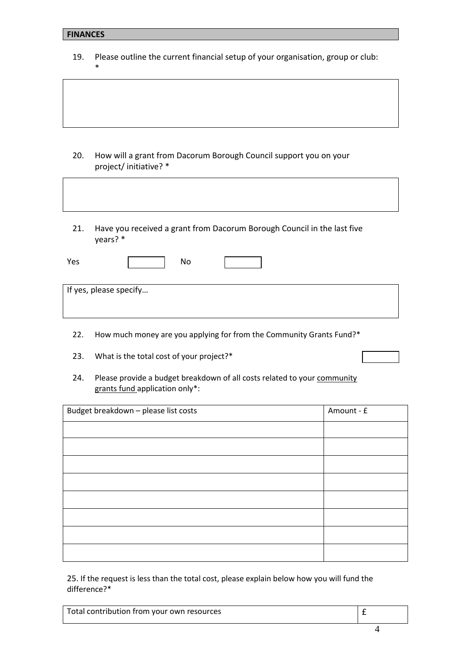#### **FINANCES**

\*

19. Please outline the current financial setup of your organisation, group or club:

- 20. How will a grant from Dacorum Borough Council support you on your project/ initiative? \*
- 21. Have you received a grant from Dacorum Borough Council in the last five years? \*

| Yes                    | No |  |  |
|------------------------|----|--|--|
|                        |    |  |  |
| If yes, please specify |    |  |  |

Г

 $\overline{\phantom{0}}$ 

- 22. How much money are you applying for from the Community Grants Fund?\*
- 23. What is the total cost of your project?\*
- 24. Please provide a budget breakdown of all costs related to your community grants fund application only\*:

| Budget breakdown - please list costs | Amount - £ |
|--------------------------------------|------------|
|                                      |            |
|                                      |            |
|                                      |            |
|                                      |            |
|                                      |            |
|                                      |            |
|                                      |            |
|                                      |            |

25. If the request is less than the total cost, please explain below how you will fund the difference?\*

| Total contribution from your own resources |  |  |
|--------------------------------------------|--|--|
|--------------------------------------------|--|--|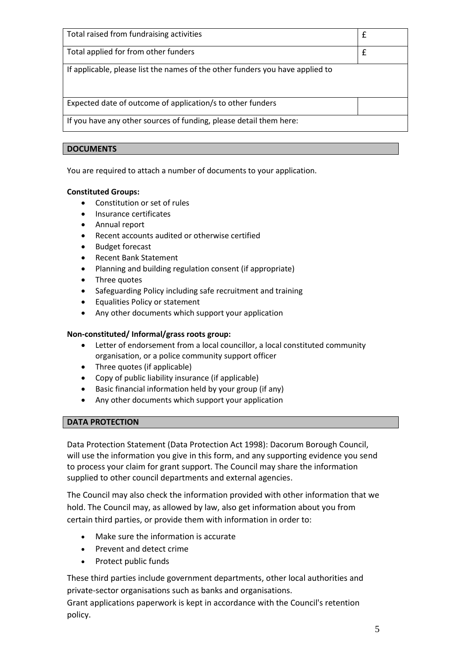| Total raised from fundraising activities                                      | £ |
|-------------------------------------------------------------------------------|---|
| Total applied for from other funders                                          | £ |
| If applicable, please list the names of the other funders you have applied to |   |
| Expected date of outcome of application/s to other funders                    |   |
| If you have any other sources of funding, please detail them here:            |   |
|                                                                               |   |

# **DOCUMENTS**

You are required to attach a number of documents to your application.

# **Constituted Groups:**

- Constitution or set of rules
- Insurance certificates
- Annual report
- Recent accounts audited or otherwise certified
- Budget forecast
- Recent Bank Statement
- Planning and building regulation consent (if appropriate)
- Three quotes
- Safeguarding Policy including safe recruitment and training
- Equalities Policy or statement
- Any other documents which support your application

## **Non-constituted/ Informal/grass roots group:**

- Letter of endorsement from a local councillor, a local constituted community organisation, or a police community support officer
- Three quotes (if applicable)
- Copy of public liability insurance (if applicable)
- Basic financial information held by your group (if any)
- Any other documents which support your application

### **DATA PROTECTION**

Data Protection Statement (Data Protection Act 1998): Dacorum Borough Council, will use the information you give in this form, and any supporting evidence you send to process your claim for grant support. The Council may share the information supplied to other council departments and external agencies.

The Council may also check the information provided with other information that we hold. The Council may, as allowed by law, also get information about you from certain third parties, or provide them with information in order to:

- Make sure the information is accurate
- Prevent and detect crime
- Protect public funds

These third parties include government departments, other local authorities and private-sector organisations such as banks and organisations.

Grant applications paperwork is kept in accordance with the Council's retention policy.